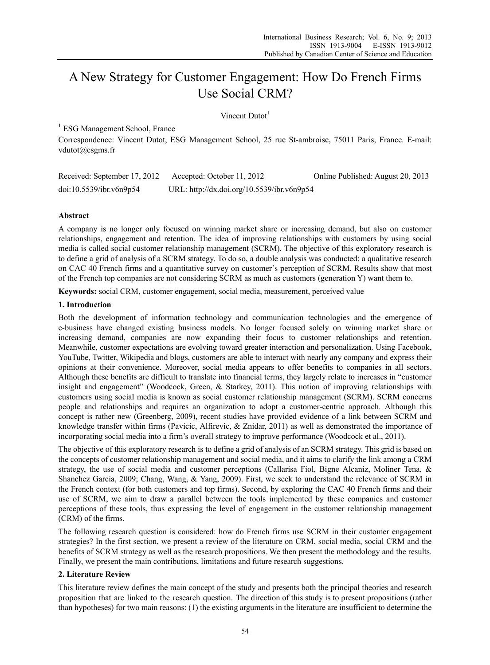# A New Strategy for Customer Engagement: How Do French Firms Use Social CRM?

Vincent Dutot $<sup>1</sup>$ </sup>

<sup>1</sup> ESG Management School, France

Correspondence: Vincent Dutot, ESG Management School, 25 rue St-ambroise, 75011 Paris, France. E-mail: vdutot@esgms.fr

| Received: September 17, 2012 | Accepted: October 11, 2012                 | Online Published: August 20, 2013 |
|------------------------------|--------------------------------------------|-----------------------------------|
| doi:10.5539/ibr.v6n9p54      | URL: http://dx.doi.org/10.5539/ibr.v6n9p54 |                                   |

# **Abstract**

A company is no longer only focused on winning market share or increasing demand, but also on customer relationships, engagement and retention. The idea of improving relationships with customers by using social media is called social customer relationship management (SCRM). The objective of this exploratory research is to define a grid of analysis of a SCRM strategy. To do so, a double analysis was conducted: a qualitative research on CAC 40 French firms and a quantitative survey on customer's perception of SCRM. Results show that most of the French top companies are not considering SCRM as much as customers (generation Y) want them to.

**Keywords:** social CRM, customer engagement, social media, measurement, perceived value

### **1. Introduction**

Both the development of information technology and communication technologies and the emergence of e-business have changed existing business models. No longer focused solely on winning market share or increasing demand, companies are now expanding their focus to customer relationships and retention. Meanwhile, customer expectations are evolving toward greater interaction and personalization. Using Facebook, YouTube, Twitter, Wikipedia and blogs, customers are able to interact with nearly any company and express their opinions at their convenience. Moreover, social media appears to offer benefits to companies in all sectors. Although these benefits are difficult to translate into financial terms, they largely relate to increases in "customer insight and engagement" (Woodcock, Green, & Starkey, 2011). This notion of improving relationships with customers using social media is known as social customer relationship management (SCRM). SCRM concerns people and relationships and requires an organization to adopt a customer-centric approach. Although this concept is rather new (Greenberg, 2009), recent studies have provided evidence of a link between SCRM and knowledge transfer within firms (Pavicic, Alfirevic, & Znidar, 2011) as well as demonstrated the importance of incorporating social media into a firm's overall strategy to improve performance (Woodcock et al., 2011).

The objective of this exploratory research is to define a grid of analysis of an SCRM strategy. This grid is based on the concepts of customer relationship management and social media, and it aims to clarify the link among a CRM strategy, the use of social media and customer perceptions (Callarisa Fiol, Bigne Alcaniz, Moliner Tena, & Shanchez Garcia, 2009; Chang, Wang, & Yang, 2009). First, we seek to understand the relevance of SCRM in the French context (for both customers and top firms). Second, by exploring the CAC 40 French firms and their use of SCRM, we aim to draw a parallel between the tools implemented by these companies and customer perceptions of these tools, thus expressing the level of engagement in the customer relationship management (CRM) of the firms.

The following research question is considered: how do French firms use SCRM in their customer engagement strategies? In the first section, we present a review of the literature on CRM, social media, social CRM and the benefits of SCRM strategy as well as the research propositions. We then present the methodology and the results. Finally, we present the main contributions, limitations and future research suggestions.

# **2. Literature Review**

This literature review defines the main concept of the study and presents both the principal theories and research proposition that are linked to the research question. The direction of this study is to present propositions (rather than hypotheses) for two main reasons: (1) the existing arguments in the literature are insufficient to determine the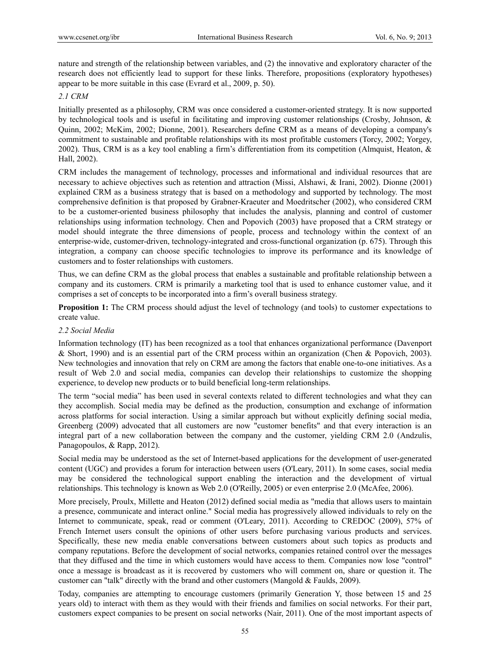nature and strength of the relationship between variables, and (2) the innovative and exploratory character of the research does not efficiently lead to support for these links. Therefore, propositions (exploratory hypotheses) appear to be more suitable in this case (Evrard et al., 2009, p. 50).

# *2.1 CRM*

Initially presented as a philosophy, CRM was once considered a customer-oriented strategy. It is now supported by technological tools and is useful in facilitating and improving customer relationships (Crosby, Johnson, & Quinn, 2002; McKim, 2002; Dionne, 2001). Researchers define CRM as a means of developing a company's commitment to sustainable and profitable relationships with its most profitable customers (Torcy, 2002; Yorgey, 2002). Thus, CRM is as a key tool enabling a firm's differentiation from its competition (Almquist, Heaton, & Hall, 2002).

CRM includes the management of technology, processes and informational and individual resources that are necessary to achieve objectives such as retention and attraction (Missi, Alshawi, & Irani, 2002). Dionne (2001) explained CRM as a business strategy that is based on a methodology and supported by technology. The most comprehensive definition is that proposed by Grabner-Kraeuter and Moedritscher (2002), who considered CRM to be a customer-oriented business philosophy that includes the analysis, planning and control of customer relationships using information technology. Chen and Popovich (2003) have proposed that a CRM strategy or model should integrate the three dimensions of people, process and technology within the context of an enterprise-wide, customer-driven, technology-integrated and cross-functional organization (p. 675). Through this integration, a company can choose specific technologies to improve its performance and its knowledge of customers and to foster relationships with customers.

Thus, we can define CRM as the global process that enables a sustainable and profitable relationship between a company and its customers. CRM is primarily a marketing tool that is used to enhance customer value, and it comprises a set of concepts to be incorporated into a firm's overall business strategy.

**Proposition 1:** The CRM process should adjust the level of technology (and tools) to customer expectations to create value.

### *2.2 Social Media*

Information technology (IT) has been recognized as a tool that enhances organizational performance (Davenport & Short, 1990) and is an essential part of the CRM process within an organization (Chen & Popovich, 2003). New technologies and innovation that rely on CRM are among the factors that enable one-to-one initiatives. As a result of Web 2.0 and social media, companies can develop their relationships to customize the shopping experience, to develop new products or to build beneficial long-term relationships.

The term "social media" has been used in several contexts related to different technologies and what they can they accomplish. Social media may be defined as the production, consumption and exchange of information across platforms for social interaction. Using a similar approach but without explicitly defining social media, Greenberg (2009) advocated that all customers are now "customer benefits" and that every interaction is an integral part of a new collaboration between the company and the customer, yielding CRM 2.0 (Andzulis, Panagopoulos, & Rapp, 2012).

Social media may be understood as the set of Internet-based applications for the development of user-generated content (UGC) and provides a forum for interaction between users (O'Leary, 2011). In some cases, social media may be considered the technological support enabling the interaction and the development of virtual relationships. This technology is known as Web 2.0 (O'Reilly, 2005) or even enterprise 2.0 (McAfee, 2006).

More precisely, Proulx, Millette and Heaton (2012) defined social media as "media that allows users to maintain a presence, communicate and interact online." Social media has progressively allowed individuals to rely on the Internet to communicate, speak, read or comment (O'Leary, 2011). According to CREDOC (2009), 57% of French Internet users consult the opinions of other users before purchasing various products and services. Specifically, these new media enable conversations between customers about such topics as products and company reputations. Before the development of social networks, companies retained control over the messages that they diffused and the time in which customers would have access to them. Companies now lose "control" once a message is broadcast as it is recovered by customers who will comment on, share or question it. The customer can "talk" directly with the brand and other customers (Mangold & Faulds, 2009).

Today, companies are attempting to encourage customers (primarily Generation Y, those between 15 and 25 years old) to interact with them as they would with their friends and families on social networks. For their part, customers expect companies to be present on social networks (Nair, 2011). One of the most important aspects of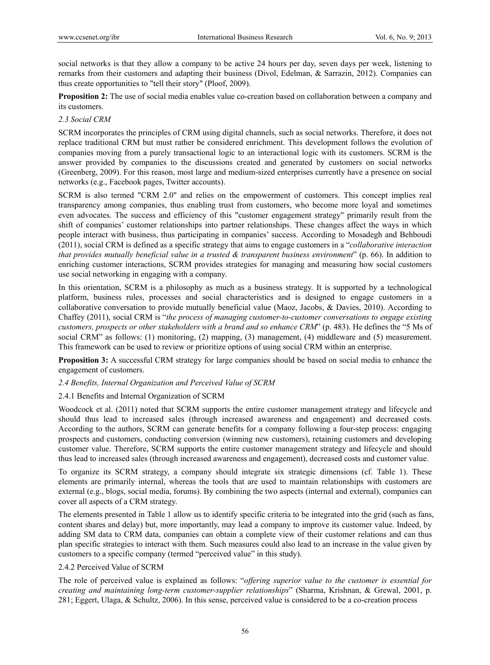social networks is that they allow a company to be active 24 hours per day, seven days per week, listening to remarks from their customers and adapting their business (Divol, Edelman, & Sarrazin, 2012). Companies can thus create opportunities to "tell their story" (Ploof, 2009).

**Proposition 2:** The use of social media enables value co-creation based on collaboration between a company and its customers.

### *2.3 Social CRM*

SCRM incorporates the principles of CRM using digital channels, such as social networks. Therefore, it does not replace traditional CRM but must rather be considered enrichment. This development follows the evolution of companies moving from a purely transactional logic to an interactional logic with its customers. SCRM is the answer provided by companies to the discussions created and generated by customers on social networks (Greenberg, 2009). For this reason, most large and medium-sized enterprises currently have a presence on social networks (e.g., Facebook pages, Twitter accounts).

SCRM is also termed "CRM 2.0" and relies on the empowerment of customers. This concept implies real transparency among companies, thus enabling trust from customers, who become more loyal and sometimes even advocates. The success and efficiency of this "customer engagement strategy" primarily result from the shift of companies' customer relationships into partner relationships. These changes affect the ways in which people interact with business, thus participating in companies' success. According to Mosadegh and Behboudi (2011), social CRM is defined as a specific strategy that aims to engage customers in a "*collaborative interaction that provides mutually beneficial value in a trusted & transparent business environment*" (p. 66). In addition to enriching customer interactions, SCRM provides strategies for managing and measuring how social customers use social networking in engaging with a company.

In this orientation, SCRM is a philosophy as much as a business strategy. It is supported by a technological platform, business rules, processes and social characteristics and is designed to engage customers in a collaborative conversation to provide mutually beneficial value (Maoz, Jacobs, & Davies, 2010). According to Chaffey (2011), social CRM is "*the process of managing customer-to-customer conversations to engage existing customers, prospects or other stakeholders with a brand and so enhance CRM*" (p. 483). He defines the "5 Ms of social CRM" as follows: (1) monitoring, (2) mapping, (3) management, (4) middleware and (5) measurement. This framework can be used to review or prioritize options of using social CRM within an enterprise.

**Proposition 3:** A successful CRM strategy for large companies should be based on social media to enhance the engagement of customers.

### *2.4 Benefits, Internal Organization and Perceived Value of SCRM*

### 2.4.1 Benefits and Internal Organization of SCRM

Woodcock et al. (2011) noted that SCRM supports the entire customer management strategy and lifecycle and should thus lead to increased sales (through increased awareness and engagement) and decreased costs. According to the authors, SCRM can generate benefits for a company following a four-step process: engaging prospects and customers, conducting conversion (winning new customers), retaining customers and developing customer value. Therefore, SCRM supports the entire customer management strategy and lifecycle and should thus lead to increased sales (through increased awareness and engagement), decreased costs and customer value.

To organize its SCRM strategy, a company should integrate six strategic dimensions (cf. Table 1). These elements are primarily internal, whereas the tools that are used to maintain relationships with customers are external (e.g., blogs, social media, forums). By combining the two aspects (internal and external), companies can cover all aspects of a CRM strategy.

The elements presented in Table 1 allow us to identify specific criteria to be integrated into the grid (such as fans, content shares and delay) but, more importantly, may lead a company to improve its customer value. Indeed, by adding SM data to CRM data, companies can obtain a complete view of their customer relations and can thus plan specific strategies to interact with them. Such measures could also lead to an increase in the value given by customers to a specific company (termed "perceived value" in this study).

### 2.4.2 Perceived Value of SCRM

The role of perceived value is explained as follows: "*offering superior value to the customer is essential for creating and maintaining long-term customer-supplier relationships*" (Sharma, Krishnan, & Grewal, 2001, p. 281; Eggert, Ulaga, & Schultz, 2006). In this sense, perceived value is considered to be a co-creation process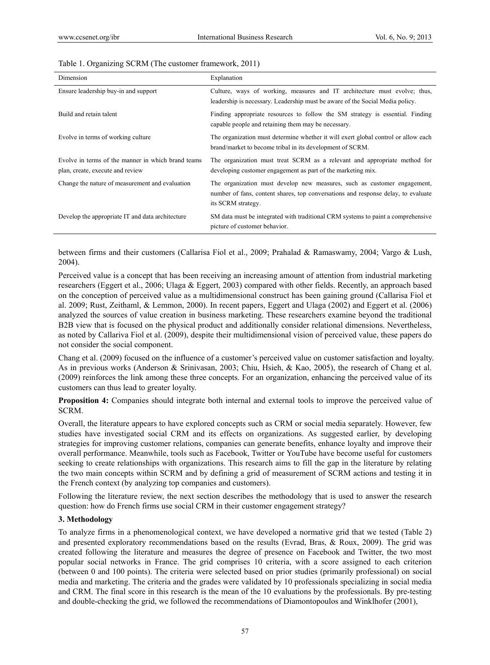| Dimension                                                                              | Explanation                                                                                                                                                                         |
|----------------------------------------------------------------------------------------|-------------------------------------------------------------------------------------------------------------------------------------------------------------------------------------|
| Ensure leadership buy-in and support                                                   | Culture, ways of working, measures and IT architecture must evolve; thus,<br>leadership is necessary. Leadership must be aware of the Social Media policy.                          |
| Build and retain talent                                                                | Finding appropriate resources to follow the SM strategy is essential. Finding<br>capable people and retaining them may be necessary.                                                |
| Evolve in terms of working culture                                                     | The organization must determine whether it will exert global control or allow each<br>brand/market to become tribal in its development of SCRM.                                     |
| Evolve in terms of the manner in which brand teams<br>plan, create, execute and review | The organization must treat SCRM as a relevant and appropriate method for<br>developing customer engagement as part of the marketing mix.                                           |
| Change the nature of measurement and evaluation                                        | The organization must develop new measures, such as customer engagement,<br>number of fans, content shares, top conversations and response delay, to evaluate<br>its SCRM strategy. |
| Develop the appropriate IT and data architecture                                       | SM data must be integrated with traditional CRM systems to paint a comprehensive<br>picture of customer behavior.                                                                   |

### Table 1. Organizing SCRM (The customer framework, 2011)

between firms and their customers (Callarisa Fiol et al., 2009; Prahalad & Ramaswamy, 2004; Vargo & Lush, 2004).

Perceived value is a concept that has been receiving an increasing amount of attention from industrial marketing researchers (Eggert et al., 2006; Ulaga & Eggert, 2003) compared with other fields. Recently, an approach based on the conception of perceived value as a multidimensional construct has been gaining ground (Callarisa Fiol et al. 2009; Rust, Zeithaml, & Lemmon, 2000). In recent papers, Eggert and Ulaga (2002) and Eggert et al. (2006) analyzed the sources of value creation in business marketing. These researchers examine beyond the traditional B2B view that is focused on the physical product and additionally consider relational dimensions. Nevertheless, as noted by Callariva Fiol et al. (2009), despite their multidimensional vision of perceived value, these papers do not consider the social component.

Chang et al. (2009) focused on the influence of a customer's perceived value on customer satisfaction and loyalty. As in previous works (Anderson & Srinivasan, 2003; Chiu, Hsieh, & Kao, 2005), the research of Chang et al. (2009) reinforces the link among these three concepts. For an organization, enhancing the perceived value of its customers can thus lead to greater loyalty.

**Proposition 4:** Companies should integrate both internal and external tools to improve the perceived value of SCRM.

Overall, the literature appears to have explored concepts such as CRM or social media separately. However, few studies have investigated social CRM and its effects on organizations. As suggested earlier, by developing strategies for improving customer relations, companies can generate benefits, enhance loyalty and improve their overall performance. Meanwhile, tools such as Facebook, Twitter or YouTube have become useful for customers seeking to create relationships with organizations. This research aims to fill the gap in the literature by relating the two main concepts within SCRM and by defining a grid of measurement of SCRM actions and testing it in the French context (by analyzing top companies and customers).

Following the literature review, the next section describes the methodology that is used to answer the research question: how do French firms use social CRM in their customer engagement strategy?

### **3. Methodology**

To analyze firms in a phenomenological context, we have developed a normative grid that we tested (Table 2) and presented exploratory recommendations based on the results (Evrad, Bras, & Roux, 2009). The grid was created following the literature and measures the degree of presence on Facebook and Twitter, the two most popular social networks in France. The grid comprises 10 criteria, with a score assigned to each criterion (between 0 and 100 points). The criteria were selected based on prior studies (primarily professional) on social media and marketing. The criteria and the grades were validated by 10 professionals specializing in social media and CRM. The final score in this research is the mean of the 10 evaluations by the professionals. By pre-testing and double-checking the grid, we followed the recommendations of Diamontopoulos and Winklhofer (2001),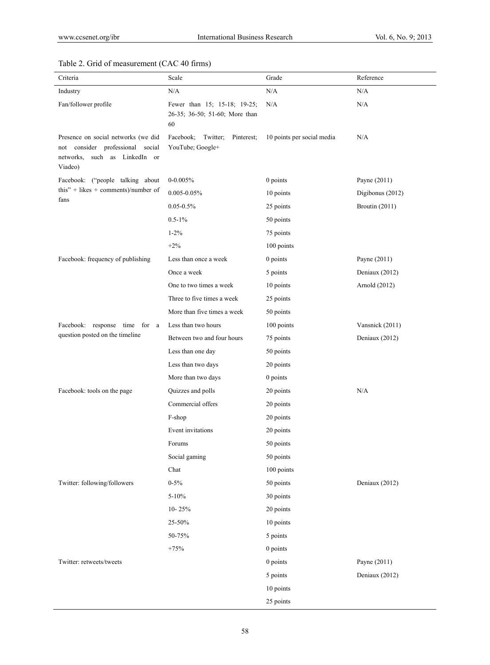# Table 2. Grid of measurement (CAC 40 firms)

| Criteria                                                                                                                     | Scale                                                                | Grade                      | Reference        |
|------------------------------------------------------------------------------------------------------------------------------|----------------------------------------------------------------------|----------------------------|------------------|
| Industry                                                                                                                     | N/A                                                                  | $\rm N/A$                  | N/A              |
| Fan/follower profile                                                                                                         | Fewer than 15; 15-18; 19-25;<br>26-35; 36-50; 51-60; More than<br>60 | N/A                        | N/A              |
| Presence on social networks (we did<br>consider professional<br>social<br>not<br>networks,<br>such as LinkedIn or<br>Viadeo) | Facebook;<br>Twitter;<br>Pinterest;<br>YouTube; Google+              | 10 points per social media | N/A              |
| Facebook: ("people talking about                                                                                             | $0 - 0.005%$                                                         | 0 points                   | Payne (2011)     |
| this" + likes + comments)/number of                                                                                          | $0.005 - 0.05\%$                                                     | 10 points                  | Digibonus (2012) |
| fans                                                                                                                         | $0.05 - 0.5\%$                                                       | 25 points                  | Broutin (2011)   |
|                                                                                                                              | $0.5 - 1\%$                                                          | 50 points                  |                  |
|                                                                                                                              | $1 - 2\%$                                                            | 75 points                  |                  |
|                                                                                                                              | $+2%$                                                                | 100 points                 |                  |
| Facebook: frequency of publishing                                                                                            | Less than once a week                                                | $0$ points                 | Payne $(2011)$   |
|                                                                                                                              | Once a week                                                          | 5 points                   | Deniaux (2012)   |
|                                                                                                                              | One to two times a week                                              | 10 points                  | Arnold (2012)    |
|                                                                                                                              | Three to five times a week                                           | 25 points                  |                  |
|                                                                                                                              | More than five times a week                                          | 50 points                  |                  |
| Facebook: response time for a                                                                                                | Less than two hours                                                  | 100 points                 | Vansnick (2011)  |
| question posted on the timeline                                                                                              | Between two and four hours                                           | 75 points                  | Deniaux (2012)   |
|                                                                                                                              | Less than one day                                                    | 50 points                  |                  |
|                                                                                                                              | Less than two days                                                   | 20 points                  |                  |
|                                                                                                                              | More than two days                                                   | $0$ points                 |                  |
| Facebook: tools on the page                                                                                                  | Quizzes and polls                                                    | 20 points                  | N/A              |
|                                                                                                                              | Commercial offers                                                    | 20 points                  |                  |
|                                                                                                                              | F-shop                                                               | 20 points                  |                  |
|                                                                                                                              | Event invitations                                                    | 20 points                  |                  |
|                                                                                                                              | Forums                                                               | 50 points                  |                  |
|                                                                                                                              | Social gaming                                                        | 50 points                  |                  |
|                                                                                                                              | Chat                                                                 | 100 points                 |                  |
| Twitter: following/followers                                                                                                 | $0 - 5\%$                                                            | 50 points                  | Deniaux (2012)   |
|                                                                                                                              | $5 - 10%$                                                            | 30 points                  |                  |
|                                                                                                                              | $10 - 25%$                                                           | 20 points                  |                  |
|                                                                                                                              | $25 - 50%$                                                           | 10 points                  |                  |
|                                                                                                                              | 50-75%                                                               | 5 points                   |                  |
|                                                                                                                              | $+75%$                                                               | 0 points                   |                  |
| Twitter: retweets/tweets                                                                                                     |                                                                      | 0 points                   | Payne (2011)     |
|                                                                                                                              |                                                                      | 5 points                   | Deniaux (2012)   |
|                                                                                                                              |                                                                      | 10 points                  |                  |
|                                                                                                                              |                                                                      | 25 points                  |                  |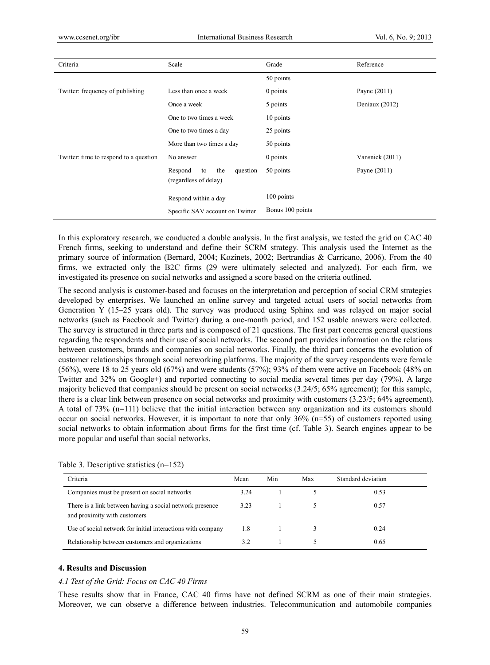| Criteria                               | Scale                                                     | Grade            | Reference       |
|----------------------------------------|-----------------------------------------------------------|------------------|-----------------|
|                                        |                                                           | 50 points        |                 |
| Twitter: frequency of publishing       | Less than once a week                                     | 0 points         | Payne $(2011)$  |
|                                        | Once a week                                               | 5 points         | Deniaux (2012)  |
|                                        | One to two times a week                                   | 10 points        |                 |
|                                        | One to two times a day                                    | 25 points        |                 |
|                                        | More than two times a day                                 | 50 points        |                 |
| Twitter: time to respond to a question | No answer                                                 | 0 points         | Vansnick (2011) |
|                                        | Respond<br>the<br>question<br>to<br>(regardless of delay) | 50 points        | Payne $(2011)$  |
|                                        | Respond within a day                                      | 100 points       |                 |
|                                        | Specific SAV account on Twitter                           | Bonus 100 points |                 |

In this exploratory research, we conducted a double analysis. In the first analysis, we tested the grid on CAC 40 French firms, seeking to understand and define their SCRM strategy. This analysis used the Internet as the primary source of information (Bernard, 2004; Kozinets, 2002; Bertrandias & Carricano, 2006). From the 40 firms, we extracted only the B2C firms (29 were ultimately selected and analyzed). For each firm, we investigated its presence on social networks and assigned a score based on the criteria outlined.

The second analysis is customer-based and focuses on the interpretation and perception of social CRM strategies developed by enterprises. We launched an online survey and targeted actual users of social networks from Generation Y (15–25 years old). The survey was produced using Sphinx and was relayed on major social networks (such as Facebook and Twitter) during a one-month period, and 152 usable answers were collected. The survey is structured in three parts and is composed of 21 questions. The first part concerns general questions regarding the respondents and their use of social networks. The second part provides information on the relations between customers, brands and companies on social networks. Finally, the third part concerns the evolution of customer relationships through social networking platforms. The majority of the survey respondents were female (56%), were 18 to 25 years old (67%) and were students (57%); 93% of them were active on Facebook (48% on Twitter and 32% on Google+) and reported connecting to social media several times per day (79%). A large majority believed that companies should be present on social networks (3.24/5; 65% agreement); for this sample, there is a clear link between presence on social networks and proximity with customers (3.23/5; 64% agreement). A total of 73% (n=111) believe that the initial interaction between any organization and its customers should occur on social networks. However, it is important to note that only  $36\%$  (n=55) of customers reported using social networks to obtain information about firms for the first time (cf. Table 3). Search engines appear to be more popular and useful than social networks.

| Criteria                                                                                 | Mean | Min | Max | Standard deviation |  |
|------------------------------------------------------------------------------------------|------|-----|-----|--------------------|--|
| Companies must be present on social networks                                             | 3.24 |     |     | 0.53               |  |
| There is a link between having a social network presence<br>and proximity with customers | 3.23 |     |     | 0.57               |  |
| Use of social network for initial interactions with company                              | 1.8  |     |     | 0.24               |  |
| Relationship between customers and organizations                                         | 3.2  |     |     | 0.65               |  |

Table 3. Descriptive statistics (n=152)

### **4. Results and Discussion**

### *4.1 Test of the Grid: Focus on CAC 40 Firms*

These results show that in France, CAC 40 firms have not defined SCRM as one of their main strategies. Moreover, we can observe a difference between industries. Telecommunication and automobile companies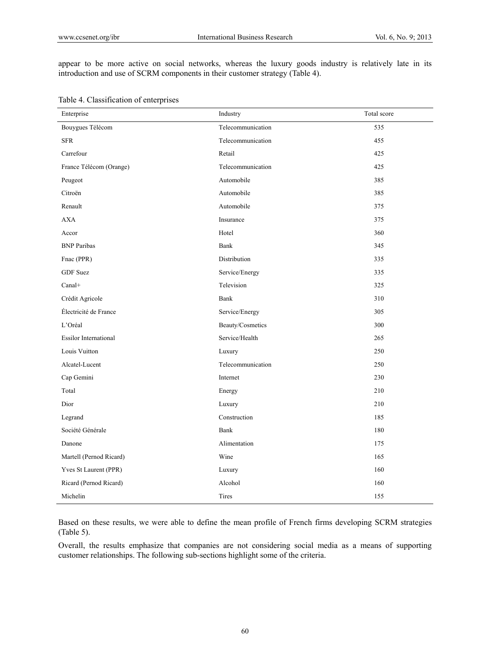appear to be more active on social networks, whereas the luxury goods industry is relatively late in its introduction and use of SCRM components in their customer strategy (Table 4).

| Enterprise                   | Industry          | Total score |
|------------------------------|-------------------|-------------|
| Bouygues Télécom             | Telecommunication | 535         |
| <b>SFR</b>                   | Telecommunication | 455         |
| Carrefour                    | Retail            | 425         |
| France Télécom (Orange)      | Telecommunication | 425         |
| Peugeot                      | Automobile        | 385         |
| Citroën                      | Automobile        | 385         |
| Renault                      | Automobile        | 375         |
| <b>AXA</b>                   | Insurance         | 375         |
| Accor                        | Hotel             | 360         |
| <b>BNP</b> Paribas           | Bank              | 345         |
| Fnac (PPR)                   | Distribution      | 335         |
| <b>GDF</b> Suez              | Service/Energy    | 335         |
| Canal+                       | Television        | 325         |
| Crédit Agricole              | Bank              | 310         |
| Électricité de France        | Service/Energy    | 305         |
| L'Oréal                      | Beauty/Cosmetics  | 300         |
| <b>Essilor International</b> | Service/Health    | 265         |
| Louis Vuitton                | Luxury            | 250         |
| Alcatel-Lucent               | Telecommunication | 250         |
| Cap Gemini                   | Internet          | 230         |
| Total                        | Energy            | 210         |
| Dior                         | Luxury            | 210         |
| Legrand                      | Construction      | 185         |
| Société Générale             | Bank              | 180         |
| Danone                       | Alimentation      | 175         |
| Martell (Pernod Ricard)      | Wine              | 165         |
| Yves St Laurent (PPR)        | Luxury            | 160         |
| Ricard (Pernod Ricard)       | Alcohol           | 160         |
| Michelin                     | Tires             | 155         |

Table 4. Classification of enterprises

Based on these results, we were able to define the mean profile of French firms developing SCRM strategies (Table 5).

Overall, the results emphasize that companies are not considering social media as a means of supporting customer relationships. The following sub-sections highlight some of the criteria.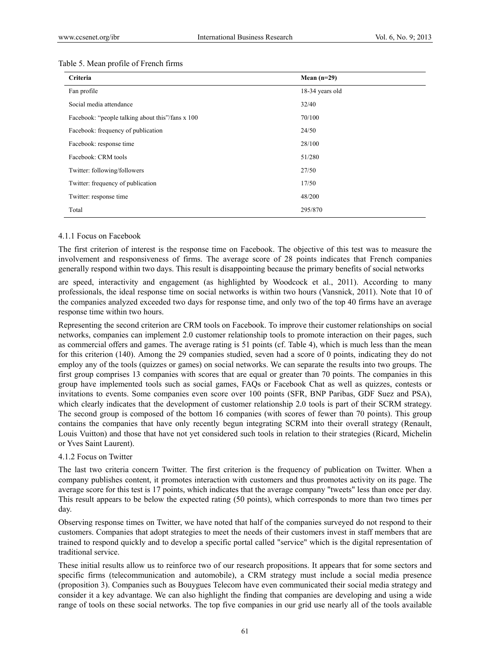| Criteria                                         | Mean $(n=29)$   |
|--------------------------------------------------|-----------------|
| Fan profile                                      | 18-34 years old |
| Social media attendance                          | 32/40           |
| Facebook: "people talking about this"/fans x 100 | 70/100          |
| Facebook: frequency of publication               | 24/50           |
| Facebook: response time                          | 28/100          |
| Facebook: CRM tools                              | 51/280          |
| Twitter: following/followers                     | 27/50           |
| Twitter: frequency of publication                | 17/50           |
| Twitter: response time                           | 48/200          |
| Total                                            | 295/870         |

### 4.1.1 Focus on Facebook

The first criterion of interest is the response time on Facebook. The objective of this test was to measure the involvement and responsiveness of firms. The average score of 28 points indicates that French companies generally respond within two days. This result is disappointing because the primary benefits of social networks

are speed, interactivity and engagement (as highlighted by Woodcock et al., 2011). According to many professionals, the ideal response time on social networks is within two hours (Vansnick, 2011). Note that 10 of the companies analyzed exceeded two days for response time, and only two of the top 40 firms have an average response time within two hours.

Representing the second criterion are CRM tools on Facebook. To improve their customer relationships on social networks, companies can implement 2.0 customer relationship tools to promote interaction on their pages, such as commercial offers and games. The average rating is 51 points (cf. Table 4), which is much less than the mean for this criterion (140). Among the 29 companies studied, seven had a score of 0 points, indicating they do not employ any of the tools (quizzes or games) on social networks. We can separate the results into two groups. The first group comprises 13 companies with scores that are equal or greater than 70 points. The companies in this group have implemented tools such as social games, FAQs or Facebook Chat as well as quizzes, contests or invitations to events. Some companies even score over 100 points (SFR, BNP Paribas, GDF Suez and PSA), which clearly indicates that the development of customer relationship 2.0 tools is part of their SCRM strategy. The second group is composed of the bottom 16 companies (with scores of fewer than 70 points). This group contains the companies that have only recently begun integrating SCRM into their overall strategy (Renault, Louis Vuitton) and those that have not yet considered such tools in relation to their strategies (Ricard, Michelin or Yves Saint Laurent).

### 4.1.2 Focus on Twitter

The last two criteria concern Twitter. The first criterion is the frequency of publication on Twitter. When a company publishes content, it promotes interaction with customers and thus promotes activity on its page. The average score for this test is 17 points, which indicates that the average company "tweets" less than once per day. This result appears to be below the expected rating (50 points), which corresponds to more than two times per day.

Observing response times on Twitter, we have noted that half of the companies surveyed do not respond to their customers. Companies that adopt strategies to meet the needs of their customers invest in staff members that are trained to respond quickly and to develop a specific portal called "service" which is the digital representation of traditional service.

These initial results allow us to reinforce two of our research propositions. It appears that for some sectors and specific firms (telecommunication and automobile), a CRM strategy must include a social media presence (proposition 3). Companies such as Bouygues Telecom have even communicated their social media strategy and consider it a key advantage. We can also highlight the finding that companies are developing and using a wide range of tools on these social networks. The top five companies in our grid use nearly all of the tools available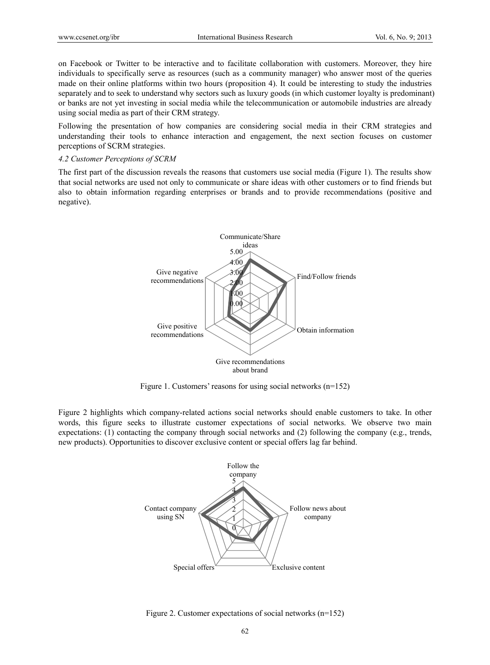on Facebook or Twitter to be interactive and to facilitate collaboration with customers. Moreover, they hire individuals to specifically serve as resources (such as a community manager) who answer most of the queries made on their online platforms within two hours (proposition 4). It could be interesting to study the industries separately and to seek to understand why sectors such as luxury goods (in which customer loyalty is predominant) or banks are not yet investing in social media while the telecommunication or automobile industries are already using social media as part of their CRM strategy.

Following the presentation of how companies are considering social media in their CRM strategies and understanding their tools to enhance interaction and engagement, the next section focuses on customer perceptions of SCRM strategies.

### *4.2 Customer Perceptions of SCRM*

The first part of the discussion reveals the reasons that customers use social media (Figure 1). The results show that social networks are used not only to communicate or share ideas with other customers or to find friends but also to obtain information regarding enterprises or brands and to provide recommendations (positive and negative).



Figure 1. Customers' reasons for using social networks (n=152)

Figure 2 highlights which company-related actions social networks should enable customers to take. In other words, this figure seeks to illustrate customer expectations of social networks. We observe two main expectations: (1) contacting the company through social networks and (2) following the company (e.g., trends, new products). Opportunities to discover exclusive content or special offers lag far behind.



Figure 2. Customer expectations of social networks (n=152)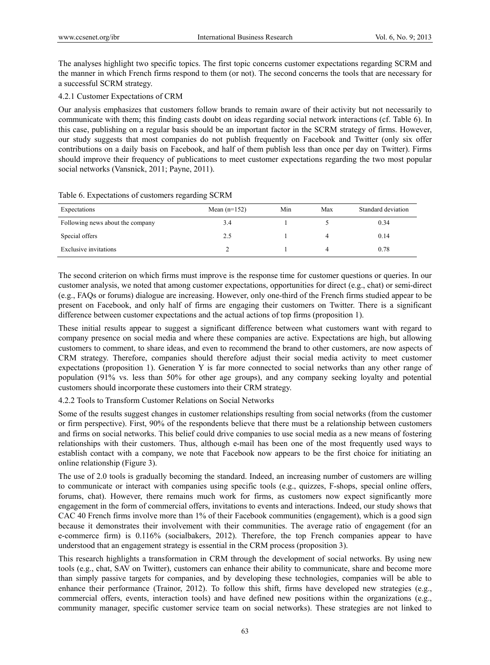The analyses highlight two specific topics. The first topic concerns customer expectations regarding SCRM and the manner in which French firms respond to them (or not). The second concerns the tools that are necessary for a successful SCRM strategy.

### 4.2.1 Customer Expectations of CRM

Our analysis emphasizes that customers follow brands to remain aware of their activity but not necessarily to communicate with them; this finding casts doubt on ideas regarding social network interactions (cf. Table 6). In this case, publishing on a regular basis should be an important factor in the SCRM strategy of firms. However, our study suggests that most companies do not publish frequently on Facebook and Twitter (only six offer contributions on a daily basis on Facebook, and half of them publish less than once per day on Twitter). Firms should improve their frequency of publications to meet customer expectations regarding the two most popular social networks (Vansnick, 2011; Payne, 2011).

| Expectations                     | Mean $(n=152)$ | Min | Max | Standard deviation |
|----------------------------------|----------------|-----|-----|--------------------|
| Following news about the company | 3.4            |     |     | 0.34               |
| Special offers                   | 2.5            |     | 4   | 0.14               |
| Exclusive invitations            |                |     | 4   | 0.78               |

### Table 6. Expectations of customers regarding SCRM

The second criterion on which firms must improve is the response time for customer questions or queries. In our customer analysis, we noted that among customer expectations, opportunities for direct (e.g., chat) or semi-direct (e.g., FAQs or forums) dialogue are increasing. However, only one-third of the French firms studied appear to be present on Facebook, and only half of firms are engaging their customers on Twitter. There is a significant difference between customer expectations and the actual actions of top firms (proposition 1).

These initial results appear to suggest a significant difference between what customers want with regard to company presence on social media and where these companies are active. Expectations are high, but allowing customers to comment, to share ideas, and even to recommend the brand to other customers, are now aspects of CRM strategy. Therefore, companies should therefore adjust their social media activity to meet customer expectations (proposition 1). Generation Y is far more connected to social networks than any other range of population (91% vs. less than 50% for other age groups), and any company seeking loyalty and potential customers should incorporate these customers into their CRM strategy.

4.2.2 Tools to Transform Customer Relations on Social Networks

Some of the results suggest changes in customer relationships resulting from social networks (from the customer or firm perspective). First, 90% of the respondents believe that there must be a relationship between customers and firms on social networks. This belief could drive companies to use social media as a new means of fostering relationships with their customers. Thus, although e-mail has been one of the most frequently used ways to establish contact with a company, we note that Facebook now appears to be the first choice for initiating an online relationship (Figure 3).

The use of 2.0 tools is gradually becoming the standard. Indeed, an increasing number of customers are willing to communicate or interact with companies using specific tools (e.g., quizzes, F-shops, special online offers, forums, chat). However, there remains much work for firms, as customers now expect significantly more engagement in the form of commercial offers, invitations to events and interactions. Indeed, our study shows that CAC 40 French firms involve more than 1% of their Facebook communities (engagement), which is a good sign because it demonstrates their involvement with their communities. The average ratio of engagement (for an e-commerce firm) is 0.116% (socialbakers, 2012). Therefore, the top French companies appear to have understood that an engagement strategy is essential in the CRM process (proposition 3).

This research highlights a transformation in CRM through the development of social networks. By using new tools (e.g., chat, SAV on Twitter), customers can enhance their ability to communicate, share and become more than simply passive targets for companies, and by developing these technologies, companies will be able to enhance their performance (Trainor, 2012). To follow this shift, firms have developed new strategies (e.g., commercial offers, events, interaction tools) and have defined new positions within the organizations (e.g., community manager, specific customer service team on social networks). These strategies are not linked to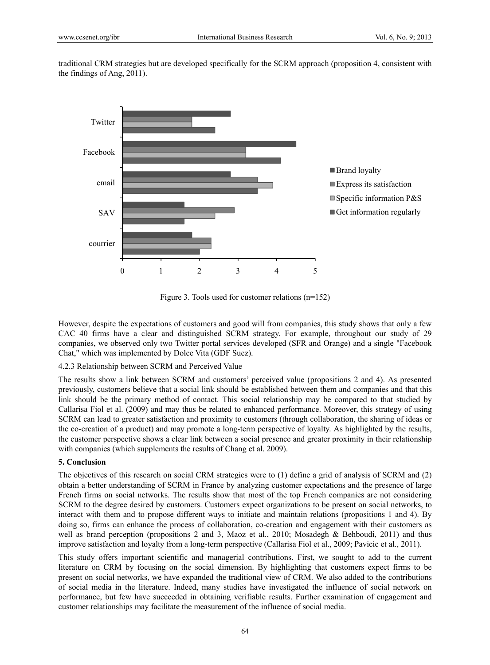traditional CRM strategies but are developed specifically for the SCRM approach (proposition 4, consistent with the findings of Ang, 2011).



Figure 3. Tools used for customer relations (n=152)

However, despite the expectations of customers and good will from companies, this study shows that only a few CAC 40 firms have a clear and distinguished SCRM strategy. For example, throughout our study of 29 companies, we observed only two Twitter portal services developed (SFR and Orange) and a single "Facebook Chat," which was implemented by Dolce Vita (GDF Suez).

4.2.3 Relationship between SCRM and Perceived Value

The results show a link between SCRM and customers' perceived value (propositions 2 and 4). As presented previously, customers believe that a social link should be established between them and companies and that this link should be the primary method of contact. This social relationship may be compared to that studied by Callarisa Fiol et al. (2009) and may thus be related to enhanced performance. Moreover, this strategy of using SCRM can lead to greater satisfaction and proximity to customers (through collaboration, the sharing of ideas or the co-creation of a product) and may promote a long-term perspective of loyalty. As highlighted by the results, the customer perspective shows a clear link between a social presence and greater proximity in their relationship with companies (which supplements the results of Chang et al. 2009).

### **5. Conclusion**

The objectives of this research on social CRM strategies were to (1) define a grid of analysis of SCRM and (2) obtain a better understanding of SCRM in France by analyzing customer expectations and the presence of large French firms on social networks. The results show that most of the top French companies are not considering SCRM to the degree desired by customers. Customers expect organizations to be present on social networks, to interact with them and to propose different ways to initiate and maintain relations (propositions 1 and 4). By doing so, firms can enhance the process of collaboration, co-creation and engagement with their customers as well as brand perception (propositions 2 and 3, Maoz et al., 2010; Mosadegh & Behboudi, 2011) and thus improve satisfaction and loyalty from a long-term perspective (Callarisa Fiol et al., 2009; Pavicic et al., 2011).

This study offers important scientific and managerial contributions. First, we sought to add to the current literature on CRM by focusing on the social dimension. By highlighting that customers expect firms to be present on social networks, we have expanded the traditional view of CRM. We also added to the contributions of social media in the literature. Indeed, many studies have investigated the influence of social network on performance, but few have succeeded in obtaining verifiable results. Further examination of engagement and customer relationships may facilitate the measurement of the influence of social media.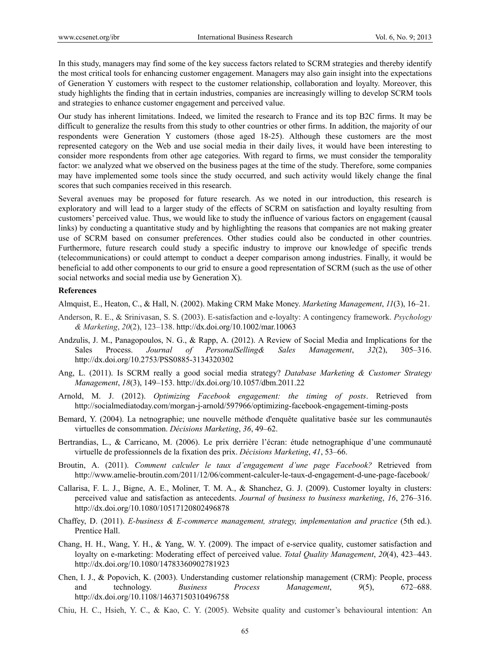In this study, managers may find some of the key success factors related to SCRM strategies and thereby identify the most critical tools for enhancing customer engagement. Managers may also gain insight into the expectations of Generation Y customers with respect to the customer relationship, collaboration and loyalty. Moreover, this study highlights the finding that in certain industries, companies are increasingly willing to develop SCRM tools and strategies to enhance customer engagement and perceived value.

Our study has inherent limitations. Indeed, we limited the research to France and its top B2C firms. It may be difficult to generalize the results from this study to other countries or other firms. In addition, the majority of our respondents were Generation Y customers (those aged 18-25). Although these customers are the most represented category on the Web and use social media in their daily lives, it would have been interesting to consider more respondents from other age categories. With regard to firms, we must consider the temporality factor: we analyzed what we observed on the business pages at the time of the study. Therefore, some companies may have implemented some tools since the study occurred, and such activity would likely change the final scores that such companies received in this research.

Several avenues may be proposed for future research. As we noted in our introduction, this research is exploratory and will lead to a larger study of the effects of SCRM on satisfaction and loyalty resulting from customers' perceived value. Thus, we would like to study the influence of various factors on engagement (causal links) by conducting a quantitative study and by highlighting the reasons that companies are not making greater use of SCRM based on consumer preferences. Other studies could also be conducted in other countries. Furthermore, future research could study a specific industry to improve our knowledge of specific trends (telecommunications) or could attempt to conduct a deeper comparison among industries. Finally, it would be beneficial to add other components to our grid to ensure a good representation of SCRM (such as the use of other social networks and social media use by Generation X).

### **References**

Almquist, E., Heaton, C., & Hall, N. (2002). Making CRM Make Money. *Marketing Management*, *11*(3), 16–21.

- Anderson, R. E., & Srinivasan, S. S. (2003). E-satisfaction and e-loyalty: A contingency framework. *Psychology & Marketing*, *20*(2), 123–138. http://dx.doi.org/10.1002/mar.10063
- Andzulis, J. M., Panagopoulos, N. G., & Rapp, A. (2012). A Review of Social Media and Implications for the Sales Process. *Journal of PersonalSelling& Sales Management*, *32*(2), 305–316. http://dx.doi.org/10.2753/PSS0885-3134320302
- Ang, L. (2011). Is SCRM really a good social media strategy? *Database Marketing & Customer Strategy Management*, *18*(3), 149–153. http://dx.doi.org/10.1057/dbm.2011.22
- Arnold, M. J. (2012). *Optimizing Facebook engagement: the timing of posts*. Retrieved from http://socialmediatoday.com/morgan-j-arnold/597966/optimizing-facebook-engagement-timing-posts
- Bemard, Y. (2004). La netnographie; une nouvelle méthode d'enquête qualitative basée sur les communautés virtuelles de consommation. *Décisions Marketing*, *36*, 49–62.
- Bertrandias, L., & Carricano, M. (2006). Le prix derrière l'écran: étude netnographique d'une communauté virtuelle de professionnels de la fixation des prix. *Décisions Marketing*, *41*, 53–66.
- Broutin, A. (2011). *Comment calculer le taux d'engagement d'une page Facebook?* Retrieved from http://www.amelie-broutin.com/2011/12/06/comment-calculer-le-taux-d-engagement-d-une-page-facebook/
- Callarisa, F. L. J., Bigne, A. E., Moliner, T. M. A., & Shanchez, G. J. (2009). Customer loyalty in clusters: perceived value and satisfaction as antecedents. *Journal of business to business marketing*, *16*, 276–316. http://dx.doi.org/10.1080/10517120802496878
- Chaffey, D. (2011). *E-business & E-commerce management, strategy, implementation and practice* (5th ed.). Prentice Hall.
- Chang, H. H., Wang, Y. H., & Yang, W. Y. (2009). The impact of e-service quality, customer satisfaction and loyalty on e-marketing: Moderating effect of perceived value. *Total Quality Management*, *20*(4), 423–443. http://dx.doi.org/10.1080/14783360902781923
- Chen, I. J., & Popovich, K. (2003). Understanding customer relationship management (CRM): People, process and technology. *Business Process Management*, *9*(5), 672–688. http://dx.doi.org/10.1108/14637150310496758
- Chiu, H. C., Hsieh, Y. C., & Kao, C. Y. (2005). Website quality and customer's behavioural intention: An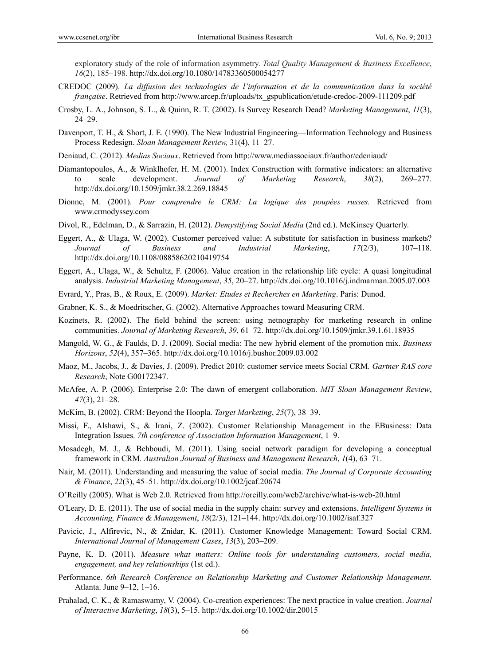exploratory study of the role of information asymmetry. *Total Quality Management & Business Excellence*, *16*(2), 185–198. http://dx.doi.org/10.1080/14783360500054277

- CREDOC (2009). *La diffusion des technologies de l'information et de la communication dans la société française*. Retrieved from http://www.arcep.fr/uploads/tx\_gspublication/etude-credoc-2009-111209.pdf
- Crosby, L. A., Johnson, S. L., & Quinn, R. T. (2002). Is Survey Research Dead? *Marketing Management*, *11*(3), 24–29.
- Davenport, T. H., & Short, J. E. (1990). The New Industrial Engineering—Information Technology and Business Process Redesign. *Sloan Management Review,* 31(4), 11–27.
- Deniaud, C. (2012). *Medias Sociaux*. Retrieved from http://www.mediassociaux.fr/author/cdeniaud/
- Diamantopoulos, A., & Winklhofer, H. M. (2001). Index Construction with formative indicators: an alternative to scale development. *Journal of Marketing Research*, *38*(2), 269–277. http://dx.doi.org/10.1509/jmkr.38.2.269.18845
- Dionne, M. (2001). *Pour comprendre le CRM: La logique des poupées russes.* Retrieved from www.crmodyssey.com
- Divol, R., Edelman, D., & Sarrazin, H. (2012). *Demystifying Social Media* (2nd ed.). McKinsey Quarterly.
- Eggert, A., & Ulaga, W. (2002). Customer perceived value: A substitute for satisfaction in business markets? *Journal of Business and Industrial Marketing*, *17*(2/3), 107–118. http://dx.doi.org/10.1108/08858620210419754
- Eggert, A., Ulaga, W., & Schultz, F. (2006). Value creation in the relationship life cycle: A quasi longitudinal analysis. *Industrial Marketing Management*, *35*, 20–27. http://dx.doi.org/10.1016/j.indmarman.2005.07.003
- Evrard, Y., Pras, B., & Roux, E. (2009). *Market: Etudes et Recherches en Marketing*. Paris: Dunod.
- Grabner, K. S., & Moedritscher, G. (2002). Alternative Approaches toward Measuring CRM.
- Kozinets, R. (2002). The field behind the screen: using netnography for marketing research in online communities. *Journal of Marketing Research*, *39*, 61–72. http://dx.doi.org/10.1509/jmkr.39.1.61.18935
- Mangold, W. G., & Faulds, D. J. (2009). Social media: The new hybrid element of the promotion mix. *Business Horizons*, *52*(4), 357–365. http://dx.doi.org/10.1016/j.bushor.2009.03.002
- Maoz, M., Jacobs, J., & Davies, J. (2009). Predict 2010: customer service meets Social CRM*. Gartner RAS core Research*, Note G00172347.
- McAfee, A. P. (2006). Enterprise 2.0: The dawn of emergent collaboration. *MIT Sloan Management Review*, *47*(3), 21–28.
- McKim, B. (2002). CRM: Beyond the Hoopla. *Target Marketing*, *25*(7), 38–39.
- Missi, F., Alshawi, S., & Irani, Z. (2002). Customer Relationship Management in the EBusiness: Data Integration Issues. *7th conference of Association Information Management*, 1–9.
- Mosadegh, M. J., & Behboudi, M. (2011). Using social network paradigm for developing a conceptual framework in CRM. *Australian Journal of Business and Management Research*, *1*(4), 63–71.
- Nair, M. (2011). Understanding and measuring the value of social media. *The Journal of Corporate Accounting & Finance*, *22*(3), 45–51. http://dx.doi.org/10.1002/jcaf.20674
- O'Reilly (2005). What is Web 2.0. Retrieved from http://oreilly.com/web2/archive/what-is-web-20.html
- O'Leary, D. E. (2011). The use of social media in the supply chain: survey and extensions. *Intelligent Systems in Accounting, Finance & Management*, *18*(2/3), 121–144. http://dx.doi.org/10.1002/isaf.327
- Pavicic, J., Alfirevic, N., & Znidar, K. (2011). Customer Knowledge Management: Toward Social CRM. *International Journal of Management Cases*, *13*(3), 203–209.
- Payne, K. D. (2011). *Measure what matters: Online tools for understanding customers, social media, engagement, and key relationships* (1st ed.).
- Performance. *6th Research Conference on Relationship Marketing and Customer Relationship Management*. Atlanta. June 9–12, 1–16.
- Prahalad, C. K., & Ramaswamy, V. (2004). Co-creation experiences: The next practice in value creation. *Journal of Interactive Marketing*, *18*(3), 5–15. http://dx.doi.org/10.1002/dir.20015